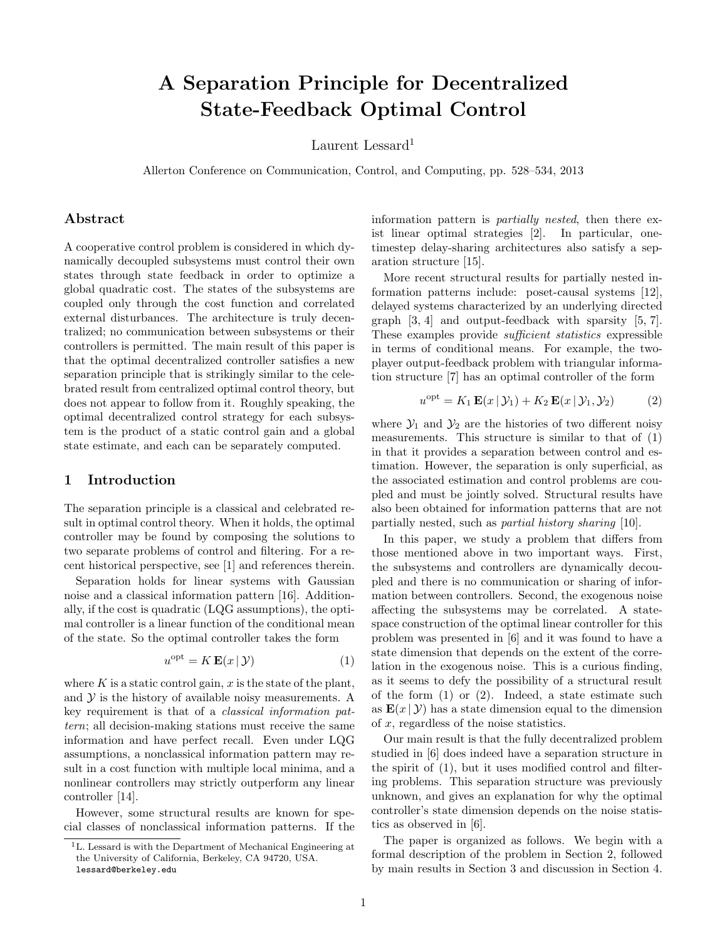# A Separation Principle for Decentralized State-Feedback Optimal Control

Laurent Lessard<sup>1</sup>

Allerton Conference on Communication, Control, and Computing, pp. 528–534, 2013

# Abstract

A cooperative control problem is considered in which dynamically decoupled subsystems must control their own states through state feedback in order to optimize a global quadratic cost. The states of the subsystems are coupled only through the cost function and correlated external disturbances. The architecture is truly decentralized; no communication between subsystems or their controllers is permitted. The main result of this paper is that the optimal decentralized controller satisfies a new separation principle that is strikingly similar to the celebrated result from centralized optimal control theory, but does not appear to follow from it. Roughly speaking, the optimal decentralized control strategy for each subsystem is the product of a static control gain and a global state estimate, and each can be separately computed.

# 1 Introduction

The separation principle is a classical and celebrated result in optimal control theory. When it holds, the optimal controller may be found by composing the solutions to two separate problems of control and filtering. For a recent historical perspective, see [\[1\]](#page-6-0) and references therein.

Separation holds for linear systems with Gaussian noise and a classical information pattern [\[16\]](#page-6-1). Additionally, if the cost is quadratic (LQG assumptions), the optimal controller is a linear function of the conditional mean of the state. So the optimal controller takes the form

<span id="page-0-0"></span>
$$
u^{\text{opt}} = K \mathbf{E}(x \mid \mathcal{Y}) \tag{1}
$$

where K is a static control gain,  $x$  is the state of the plant, and  $\mathcal Y$  is the history of available noisy measurements. A key requirement is that of a classical information pattern; all decision-making stations must receive the same information and have perfect recall. Even under LQG assumptions, a nonclassical information pattern may result in a cost function with multiple local minima, and a nonlinear controllers may strictly outperform any linear controller [\[14\]](#page-6-2).

However, some structural results are known for special classes of nonclassical information patterns. If the information pattern is partially nested, then there exist linear optimal strategies [\[2\]](#page-6-3). In particular, onetimestep delay-sharing architectures also satisfy a separation structure [\[15\]](#page-6-4).

More recent structural results for partially nested information patterns include: poset-causal systems [\[12\]](#page-6-5), delayed systems characterized by an underlying directed graph [\[3,](#page-6-6) [4\]](#page-6-7) and output-feedback with sparsity [\[5,](#page-6-8) [7\]](#page-6-9). These examples provide sufficient statistics expressible in terms of conditional means. For example, the twoplayer output-feedback problem with triangular information structure [\[7\]](#page-6-9) has an optimal controller of the form

<span id="page-0-1"></span>
$$
u^{\text{opt}} = K_1 \mathbf{E}(x \mid \mathcal{Y}_1) + K_2 \mathbf{E}(x \mid \mathcal{Y}_1, \mathcal{Y}_2)
$$
 (2)

where  $\mathcal{Y}_1$  and  $\mathcal{Y}_2$  are the histories of two different noisy measurements. This structure is similar to that of [\(1\)](#page-0-0) in that it provides a separation between control and estimation. However, the separation is only superficial, as the associated estimation and control problems are coupled and must be jointly solved. Structural results have also been obtained for information patterns that are not partially nested, such as partial history sharing [\[10\]](#page-6-10).

In this paper, we study a problem that differs from those mentioned above in two important ways. First, the subsystems and controllers are dynamically decoupled and there is no communication or sharing of information between controllers. Second, the exogenous noise affecting the subsystems may be correlated. A statespace construction of the optimal linear controller for this problem was presented in [\[6\]](#page-6-11) and it was found to have a state dimension that depends on the extent of the correlation in the exogenous noise. This is a curious finding, as it seems to defy the possibility of a structural result of the form [\(1\)](#page-0-0) or [\(2\)](#page-0-1). Indeed, a state estimate such as  $\mathbf{E}(x | \mathcal{Y})$  has a state dimension equal to the dimension of  $x$ , regardless of the noise statistics.

Our main result is that the fully decentralized problem studied in [\[6\]](#page-6-11) does indeed have a separation structure in the spirit of [\(1\)](#page-0-0), but it uses modified control and filtering problems. This separation structure was previously unknown, and gives an explanation for why the optimal controller's state dimension depends on the noise statistics as observed in [\[6\]](#page-6-11).

The paper is organized as follows. We begin with a formal description of the problem in Section [2,](#page-1-0) followed by main results in Section [3](#page-1-1) and discussion in Section [4.](#page-2-0)

<sup>&</sup>lt;sup>1</sup>L. Lessard is with the Department of Mechanical Engineering at the University of California, Berkeley, CA 94720, USA. lessard@berkeley.edu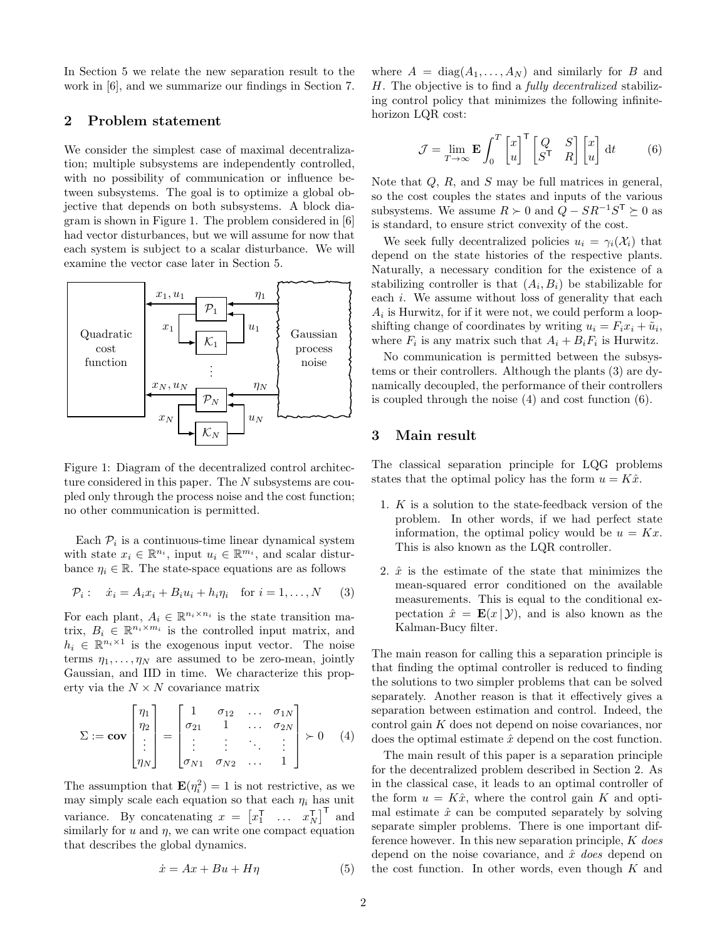In Section [5](#page-3-0) we relate the new separation result to the work in [\[6\]](#page-6-11), and we summarize our findings in Section [7.](#page-6-12)

# <span id="page-1-0"></span>2 Problem statement

We consider the simplest case of maximal decentralization; multiple subsystems are independently controlled, with no possibility of communication or influence between subsystems. The goal is to optimize a global objective that depends on both subsystems. A block diagram is shown in Figure [1.](#page-1-2) The problem considered in [\[6\]](#page-6-11) had vector disturbances, but we will assume for now that each system is subject to a scalar disturbance. We will examine the vector case later in Section [5.](#page-3-0)



<span id="page-1-2"></span>Figure 1: Diagram of the decentralized control architecture considered in this paper. The N subsystems are coupled only through the process noise and the cost function; no other communication is permitted.

Each  $P_i$  is a continuous-time linear dynamical system with state  $x_i \in \mathbb{R}^{n_i}$ , input  $u_i \in \mathbb{R}^{m_i}$ , and scalar disturbance  $\eta_i \in \mathbb{R}$ . The state-space equations are as follows

<span id="page-1-3"></span>
$$
\mathcal{P}_i: \quad \dot{x}_i = A_i x_i + B_i u_i + h_i \eta_i \quad \text{for } i = 1, \dots, N \tag{3}
$$

For each plant,  $A_i \in \mathbb{R}^{n_i \times n_i}$  is the state transition matrix,  $B_i \in \mathbb{R}^{n_i \times m_i}$  is the controlled input matrix, and  $h_i \in \mathbb{R}^{n_i \times 1}$  is the exogenous input vector. The noise terms  $\eta_1, \ldots, \eta_N$  are assumed to be zero-mean, jointly Gaussian, and IID in time. We characterize this property via the  $N \times N$  covariance matrix

<span id="page-1-4"></span>
$$
\Sigma := \mathbf{cov}\begin{bmatrix} \eta_1 \\ \eta_2 \\ \vdots \\ \eta_N \end{bmatrix} = \begin{bmatrix} 1 & \sigma_{12} & \cdots & \sigma_{1N} \\ \sigma_{21} & 1 & \cdots & \sigma_{2N} \\ \vdots & \vdots & \ddots & \vdots \\ \sigma_{N1} & \sigma_{N2} & \cdots & 1 \end{bmatrix} \succ 0 \quad (4)
$$

The assumption that  $\mathbf{E}(\eta_i^2) = 1$  is not restrictive, as we may simply scale each equation so that each  $\eta_i$  has unit variance. By concatenating  $x = \begin{bmatrix} x_1^{\mathsf{T}} & \dots & x_N^{\mathsf{T}} \end{bmatrix}^{\mathsf{T}}$  and similarly for  $u$  and  $\eta$ , we can write one compact equation that describes the global dynamics.

<span id="page-1-6"></span>
$$
\dot{x} = Ax + Bu + H\eta \tag{5}
$$

where  $A = diag(A_1, ..., A_N)$  and similarly for B and H. The objective is to find a fully decentralized stabilizing control policy that minimizes the following infinitehorizon LQR cost:

<span id="page-1-5"></span>
$$
\mathcal{J} = \lim_{T \to \infty} \mathbf{E} \int_0^T \begin{bmatrix} x \\ u \end{bmatrix}^\mathsf{T} \begin{bmatrix} Q & S \\ S^\mathsf{T} & R \end{bmatrix} \begin{bmatrix} x \\ u \end{bmatrix} \, \mathrm{d}t \tag{6}
$$

Note that  $Q$ ,  $R$ , and  $S$  may be full matrices in general, so the cost couples the states and inputs of the various subsystems. We assume  $R \succ 0$  and  $Q - SR^{-1}S^{\mathsf{T}} \succeq 0$  as is standard, to ensure strict convexity of the cost.

We seek fully decentralized policies  $u_i = \gamma_i(\mathcal{X}_i)$  that depend on the state histories of the respective plants. Naturally, a necessary condition for the existence of a stabilizing controller is that  $(A_i, B_i)$  be stabilizable for each  $i$ . We assume without loss of generality that each  $A_i$  is Hurwitz, for if it were not, we could perform a loopshifting change of coordinates by writing  $u_i = F_i x_i + \tilde{u}_i$ , where  $F_i$  is any matrix such that  $A_i + B_i F_i$  is Hurwitz.

No communication is permitted between the subsystems or their controllers. Although the plants [\(3\)](#page-1-3) are dynamically decoupled, the performance of their controllers is coupled through the noise [\(4\)](#page-1-4) and cost function [\(6\)](#page-1-5).

## <span id="page-1-1"></span>3 Main result

The classical separation principle for LQG problems states that the optimal policy has the form  $u = K\hat{x}$ .

- 1. K is a solution to the state-feedback version of the problem. In other words, if we had perfect state information, the optimal policy would be  $u = Kx$ . This is also known as the LQR controller.
- 2.  $\hat{x}$  is the estimate of the state that minimizes the mean-squared error conditioned on the available measurements. This is equal to the conditional expectation  $\hat{x} = \mathbf{E}(x | \mathcal{Y})$ , and is also known as the Kalman-Bucy filter.

The main reason for calling this a separation principle is that finding the optimal controller is reduced to finding the solutions to two simpler problems that can be solved separately. Another reason is that it effectively gives a separation between estimation and control. Indeed, the control gain K does not depend on noise covariances, nor does the optimal estimate  $\hat{x}$  depend on the cost function.

The main result of this paper is a separation principle for the decentralized problem described in Section [2.](#page-1-0) As in the classical case, it leads to an optimal controller of the form  $u = K\hat{x}$ , where the control gain K and optimal estimate  $\hat{x}$  can be computed separately by solving separate simpler problems. There is one important difference however. In this new separation principle,  $K$  does depend on the noise covariance, and  $\hat{x}$  does depend on the cost function. In other words, even though  $K$  and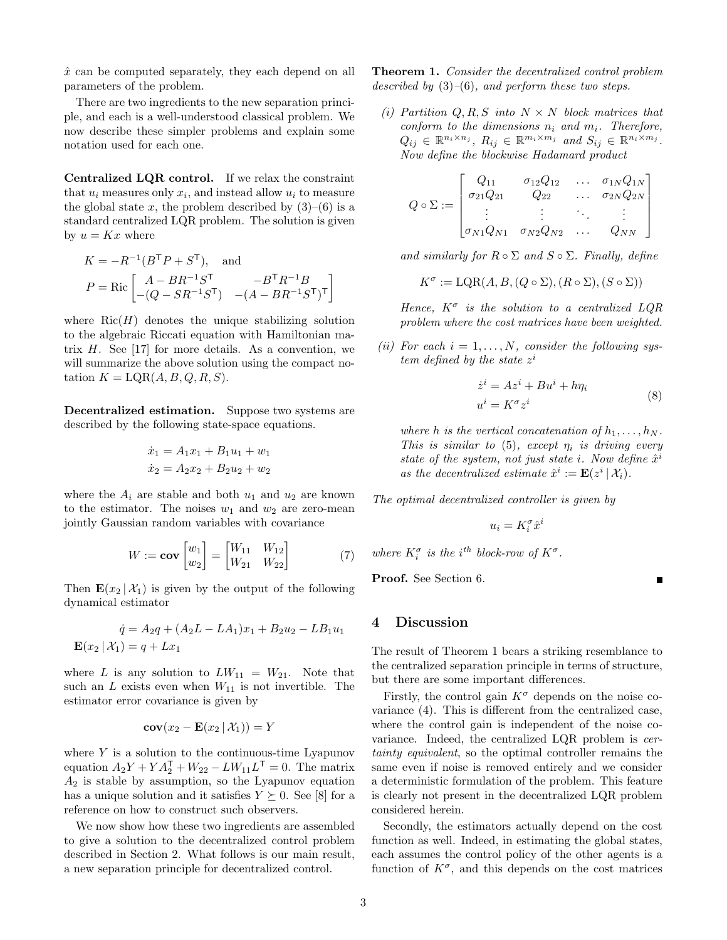$\hat{x}$  can be computed separately, they each depend on all parameters of the problem.

There are two ingredients to the new separation principle, and each is a well-understood classical problem. We now describe these simpler problems and explain some notation used for each one.

Centralized LQR control. If we relax the constraint that  $u_i$  measures only  $x_i$ , and instead allow  $u_i$  to measure the global state x, the problem described by  $(3)-(6)$  $(3)-(6)$  $(3)-(6)$  is a standard centralized LQR problem. The solution is given by  $u = Kx$  where

$$
K = -R^{-1}(B^{T}P + S^{T}), \text{ and}
$$
  
\n
$$
P = \text{Ric} \begin{bmatrix} A - BR^{-1}S^{T} & -B^{T}R^{-1}B \\ -(Q - SR^{-1}S^{T}) & -(A - BR^{-1}S^{T})^{T} \end{bmatrix}
$$

where  $\text{Ric}(H)$  denotes the unique stabilizing solution to the algebraic Riccati equation with Hamiltonian matrix  $H$ . See [\[17\]](#page-6-13) for more details. As a convention, we will summarize the above solution using the compact notation  $K = LQR(A, B, Q, R, S)$ .

Decentralized estimation. Suppose two systems are described by the following state-space equations.

$$
\dot{x}_1 = A_1 x_1 + B_1 u_1 + w_1
$$
  

$$
\dot{x}_2 = A_2 x_2 + B_2 u_2 + w_2
$$

where the  $A_i$  are stable and both  $u_1$  and  $u_2$  are known to the estimator. The noises  $w_1$  and  $w_2$  are zero-mean jointly Gaussian random variables with covariance

<span id="page-2-2"></span>
$$
W := \mathbf{cov}\begin{bmatrix} w_1 \\ w_2 \end{bmatrix} = \begin{bmatrix} W_{11} & W_{12} \\ W_{21} & W_{22} \end{bmatrix} \tag{7}
$$

Then  $\mathbf{E}(x_2 | \mathcal{X}_1)$  is given by the output of the following dynamical estimator

$$
\dot{q} = A_2 q + (A_2 L - L A_1)x_1 + B_2 u_2 - L B_1 u_1
$$
  

$$
\mathbf{E}(x_2 | \mathcal{X}_1) = q + L x_1
$$

where L is any solution to  $LW_{11} = W_{21}$ . Note that such an  $L$  exists even when  $W_{11}$  is not invertible. The estimator error covariance is given by

$$
cov(x_2 - E(x_2 | \mathcal{X}_1)) = Y
$$

where  $Y$  is a solution to the continuous-time Lyapunov equation  $A_2Y + YA_2^{\mathsf{T}} + W_{22} - LW_{11}L^{\mathsf{T}} = 0$ . The matrix  $A_2$  is stable by assumption, so the Lyapunov equation has a unique solution and it satisfies  $Y \succeq 0$ . See [\[8\]](#page-6-14) for a reference on how to construct such observers.

We now show how these two ingredients are assembled to give a solution to the decentralized control problem described in Section [2.](#page-1-0) What follows is our main result, a new separation principle for decentralized control.

<span id="page-2-1"></span>Theorem 1. Consider the decentralized control problem described by  $(3)$ – $(6)$ , and perform these two steps.

(i) Partition Q, R, S into  $N \times N$  block matrices that conform to the dimensions  $n_i$  and  $m_i$ . Therefore,  $Q_{ij} \in \mathbb{R}^{n_i \times n_j}, R_{ij} \in \mathbb{R}^{m_i \times m_j}$  and  $S_{ij} \in \mathbb{R}^{n_i \times m_j}$ . Now define the blockwise Hadamard product

$$
Q \circ \Sigma := \begin{bmatrix} Q_{11} & \sigma_{12} Q_{12} & \dots & \sigma_{1N} Q_{1N} \\ \sigma_{21} Q_{21} & Q_{22} & \dots & \sigma_{2N} Q_{2N} \\ \vdots & \vdots & \ddots & \vdots \\ \sigma_{N1} Q_{N1} & \sigma_{N2} Q_{N2} & \dots & Q_{NN} \end{bmatrix}
$$

and similarly for  $R \circ \Sigma$  and  $S \circ \Sigma$ . Finally, define

$$
K^{\sigma} := \text{LQR}(A, B, (Q \circ \Sigma), (R \circ \Sigma), (S \circ \Sigma))
$$

Hence,  $K^{\sigma}$  is the solution to a centralized LQR problem where the cost matrices have been weighted.

(ii) For each  $i = 1, \ldots, N$ , consider the following system defined by the state  $z^i$ 

<span id="page-2-3"></span>
$$
\begin{aligned} \dot{z}^i &= Az^i + Bu^i + h\eta_i \\ u^i &= K^\sigma z^i \end{aligned} \tag{8}
$$

where h is the vertical concatenation of  $h_1, \ldots, h_N$ . This is similar to [\(5\)](#page-1-6), except  $\eta_i$  is driving every state of the system, not just state i. Now define  $\hat{x}^i$ as the decentralized estimate  $\hat{x}^i := \mathbf{E}(z^i | \mathcal{X}_i)$ .

The optimal decentralized controller is given by

$$
u_i = K_i^{\sigma} \hat{x}^i
$$

where  $K_i^{\sigma}$  is the i<sup>th</sup> block-row of  $K^{\sigma}$ .

Proof. See Section [6.](#page-4-0)

### <span id="page-2-0"></span>4 Discussion

The result of Theorem [1](#page-2-1) bears a striking resemblance to the centralized separation principle in terms of structure, but there are some important differences.

Firstly, the control gain  $K^{\sigma}$  depends on the noise covariance [\(4\)](#page-1-4). This is different from the centralized case, where the control gain is independent of the noise covariance. Indeed, the centralized LQR problem is certainty equivalent, so the optimal controller remains the same even if noise is removed entirely and we consider a deterministic formulation of the problem. This feature is clearly not present in the decentralized LQR problem considered herein.

Secondly, the estimators actually depend on the cost function as well. Indeed, in estimating the global states, each assumes the control policy of the other agents is a function of  $K^{\sigma}$ , and this depends on the cost matrices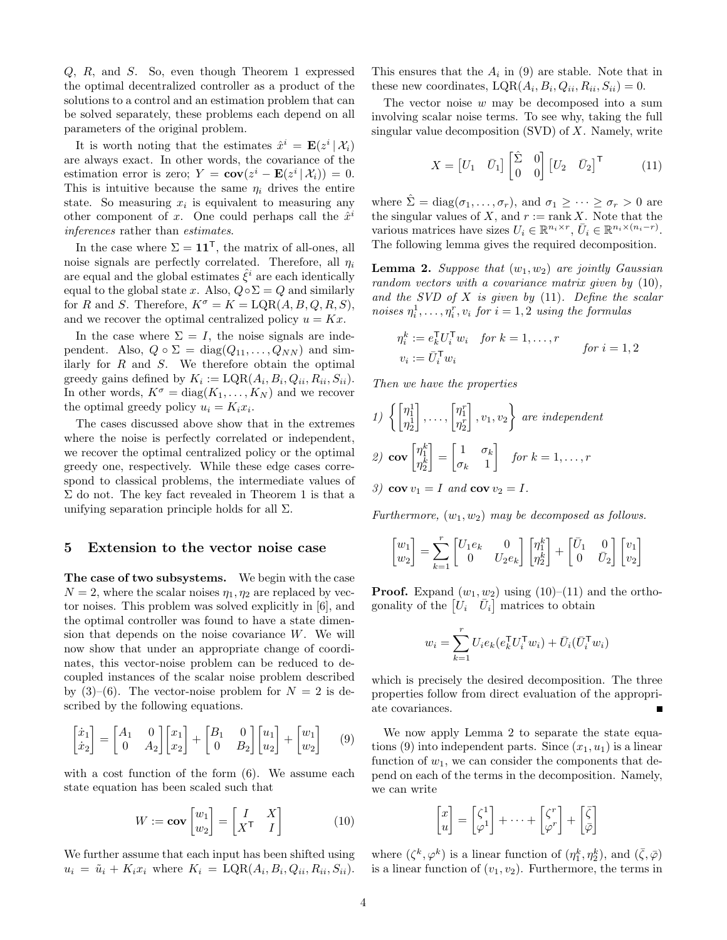Q, R, and S. So, even though Theorem [1](#page-2-1) expressed the optimal decentralized controller as a product of the solutions to a control and an estimation problem that can be solved separately, these problems each depend on all parameters of the original problem.

It is worth noting that the estimates  $\hat{x}^i = \mathbf{E}(z^i | \mathcal{X}_i)$ are always exact. In other words, the covariance of the estimation error is zero;  $Y = \mathbf{cov}(z^i - \mathbf{E}(z^i | \mathcal{X}_i)) = 0.$ This is intuitive because the same  $\eta_i$  drives the entire state. So measuring  $x_i$  is equivalent to measuring any other component of x. One could perhaps call the  $\hat{x}^i$ inferences rather than estimates.

In the case where  $\Sigma = 11^{\mathsf{T}}$ , the matrix of all-ones, all noise signals are perfectly correlated. Therefore, all  $\eta_i$ are equal and the global estimates  $\hat{\xi}^i$  are each identically equal to the global state x. Also,  $Q \circ \Sigma = Q$  and similarly for R and S. Therefore,  $K^{\sigma} = K = \text{LQR}(A, B, Q, R, S),$ and we recover the optimal centralized policy  $u = Kx$ .

In the case where  $\Sigma = I$ , the noise signals are independent. Also,  $Q \circ \Sigma = \text{diag}(Q_{11}, \ldots, Q_{NN})$  and similarly for  $R$  and  $S$ . We therefore obtain the optimal greedy gains defined by  $K_i := \text{LQR}(A_i, B_i, Q_{ii}, R_{ii}, S_{ii}).$ In other words,  $K^{\sigma} = \text{diag}(K_1, \ldots, K_N)$  and we recover the optimal greedy policy  $u_i = K_i x_i$ .

The cases discussed above show that in the extremes where the noise is perfectly correlated or independent, we recover the optimal centralized policy or the optimal greedy one, respectively. While these edge cases correspond to classical problems, the intermediate values of  $\Sigma$  do not. The key fact revealed in Theorem [1](#page-2-1) is that a unifying separation principle holds for all  $\Sigma$ .

### <span id="page-3-0"></span>5 Extension to the vector noise case

The case of two subsystems. We begin with the case  $N = 2$ , where the scalar noises  $\eta_1, \eta_2$  are replaced by vector noises. This problem was solved explicitly in [\[6\]](#page-6-11), and the optimal controller was found to have a state dimension that depends on the noise covariance  $W$ . We will now show that under an appropriate change of coordinates, this vector-noise problem can be reduced to decoupled instances of the scalar noise problem described by  $(3)-(6)$  $(3)-(6)$  $(3)-(6)$ . The vector-noise problem for  $N = 2$  is described by the following equations.

<span id="page-3-1"></span>
$$
\begin{bmatrix} \dot{x}_1 \\ \dot{x}_2 \end{bmatrix} = \begin{bmatrix} A_1 & 0 \\ 0 & A_2 \end{bmatrix} \begin{bmatrix} x_1 \\ x_2 \end{bmatrix} + \begin{bmatrix} B_1 & 0 \\ 0 & B_2 \end{bmatrix} \begin{bmatrix} u_1 \\ u_2 \end{bmatrix} + \begin{bmatrix} w_1 \\ w_2 \end{bmatrix} \tag{9}
$$

with a cost function of the form  $(6)$ . We assume each state equation has been scaled such that

<span id="page-3-2"></span>
$$
W := \mathbf{cov}\begin{bmatrix} w_1 \\ w_2 \end{bmatrix} = \begin{bmatrix} I & X \\ X^{\mathsf{T}} & I \end{bmatrix} \tag{10}
$$

We further assume that each input has been shifted using  $u_i = \tilde{u}_i + K_i x_i$  where  $K_i = \text{LQR}(A_i, B_i, Q_{ii}, R_{ii}, S_{ii}).$ 

This ensures that the  $A_i$  in [\(9\)](#page-3-1) are stable. Note that in these new coordinates,  $LQR(A_i, B_i, Q_{ii}, R_{ii}, S_{ii}) = 0.$ 

The vector noise w may be decomposed into a sum involving scalar noise terms. To see why, taking the full singular value decomposition  $(SVD)$  of  $X$ . Namely, write

<span id="page-3-3"></span>
$$
X = \begin{bmatrix} U_1 & \bar{U}_1 \end{bmatrix} \begin{bmatrix} \hat{\Sigma} & 0 \\ 0 & 0 \end{bmatrix} \begin{bmatrix} U_2 & \bar{U}_2 \end{bmatrix}^\mathsf{T} \tag{11}
$$

where  $\hat{\Sigma} = \text{diag}(\sigma_1, \ldots, \sigma_r)$ , and  $\sigma_1 \geq \cdots \geq \sigma_r > 0$  are the singular values of X, and  $r := \text{rank } X$ . Note that the various matrices have sizes  $U_i \in \mathbb{R}^{n_i \times r}$ ,  $\overline{U}_i \in \mathbb{R}^{n_i \times (n_i - r)}$ . The following lemma gives the required decomposition.

<span id="page-3-4"></span>**Lemma 2.** Suppose that  $(w_1, w_2)$  are jointly Gaussian random vectors with a covariance matrix given by [\(10\)](#page-3-2), and the SVD of  $X$  is given by  $(11)$ . Define the scalar noises  $\eta_i^1, \ldots, \eta_i^r, v_i$  for  $i = 1, 2$  using the formulas

$$
\eta_i^k := e_k^{\mathsf{T}} U_i^{\mathsf{T}} w_i \quad \text{for } k = 1, \dots, r
$$
\n
$$
v_i := \bar{U}_i^{\mathsf{T}} w_i \qquad \text{for } i = 1, 2
$$

Then we have the properties

1) 
$$
\left\{ \begin{bmatrix} \eta_1^1 \\ \eta_2^1 \end{bmatrix}, \dots, \begin{bmatrix} \eta_1^r \\ \eta_2^r \end{bmatrix}, v_1, v_2 \right\} \text{ are independent}
$$
  
2) 
$$
\text{cov}\left\{ \begin{bmatrix} \eta_1^k \\ \eta_2^k \end{bmatrix} = \begin{bmatrix} 1 & \sigma_k \\ - & \sigma_k \end{bmatrix} \text{ for } k = 1, \dots, r
$$

$$
\text{2) } \text{ cov}\left[\begin{matrix} n_1 \\ n_2^k \end{matrix}\right] = \left[\begin{matrix} 1 & 0 \\ \sigma_k & 1 \end{matrix}\right] \quad \text{for } k = 1, \dots, r
$$

3) cov  $v_1 = I$  and cov  $v_2 = I$ .

Furthermore,  $(w_1, w_2)$  may be decomposed as follows.

$$
\begin{bmatrix} w_1 \\ w_2 \end{bmatrix} = \sum_{k=1}^r \begin{bmatrix} U_1 e_k & 0 \\ 0 & U_2 e_k \end{bmatrix} \begin{bmatrix} \eta_1^k \\ \eta_2^k \end{bmatrix} + \begin{bmatrix} \bar{U}_1 & 0 \\ 0 & \bar{U}_2 \end{bmatrix} \begin{bmatrix} v_1 \\ v_2 \end{bmatrix}
$$

**Proof.** Expand  $(w_1, w_2)$  using  $(10)$ – $(11)$  and the orthogonality of the  $\begin{bmatrix} \hat{U}_i & \overline{U}_i \end{bmatrix}$  matrices to obtain

$$
w_i = \sum_{k=1}^r U_i e_k (e_k^\mathsf{T} U_i^\mathsf{T} w_i) + \bar{U}_i (\bar{U}_i^\mathsf{T} w_i)
$$

which is precisely the desired decomposition. The three properties follow from direct evaluation of the appropriate covariances.

We now apply Lemma [2](#page-3-4) to separate the state equa-tions [\(9\)](#page-3-1) into independent parts. Since  $(x_1, u_1)$  is a linear function of  $w_1$ , we can consider the components that depend on each of the terms in the decomposition. Namely, we can write

$$
\begin{bmatrix} x \\ u \end{bmatrix} = \begin{bmatrix} \zeta^1 \\ \varphi^1 \end{bmatrix} + \dots + \begin{bmatrix} \zeta^r \\ \varphi^r \end{bmatrix} + \begin{bmatrix} \overline{\zeta} \\ \overline{\varphi} \end{bmatrix}
$$

where  $(\zeta^k, \varphi^k)$  is a linear function of  $(\eta_1^k, \eta_2^k)$ , and  $(\bar{\zeta}, \bar{\varphi})$ is a linear function of  $(v_1, v_2)$ . Furthermore, the terms in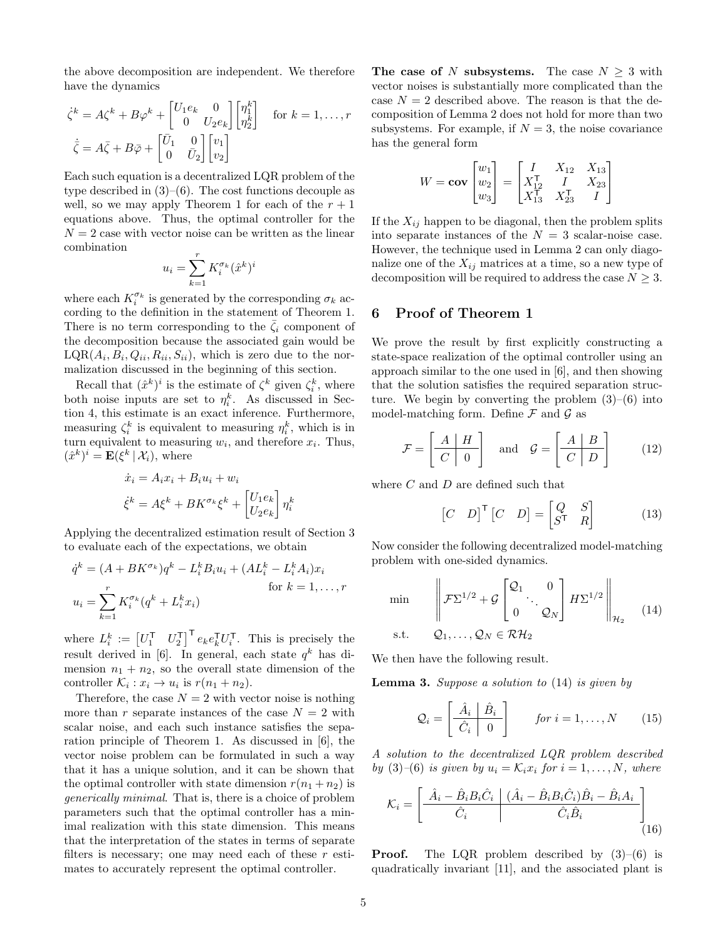the above decomposition are independent. We therefore have the dynamics

$$
\dot{\zeta}^k = A\zeta^k + B\varphi^k + \begin{bmatrix} U_1 e_k & 0 \\ 0 & U_2 e_k \end{bmatrix} \begin{bmatrix} \eta_1^k \\ \eta_2^k \end{bmatrix} \quad \text{for } k = 1, \dots, r
$$

$$
\dot{\bar{\zeta}} = A\bar{\zeta} + B\bar{\varphi} + \begin{bmatrix} \bar{U}_1 & 0 \\ 0 & \bar{U}_2 \end{bmatrix} \begin{bmatrix} v_1 \\ v_2 \end{bmatrix}
$$

Each such equation is a decentralized LQR problem of the type described in  $(3)$ – $(6)$ . The cost functions decouple as well, so we may apply Theorem [1](#page-2-1) for each of the  $r + 1$ equations above. Thus, the optimal controller for the  $N = 2$  case with vector noise can be written as the linear combination

$$
u_i = \sum_{k=1}^r K_i^{\sigma_k} (\hat{x}^k)^i
$$

where each  $K_i^{\sigma_k}$  is generated by the corresponding  $\sigma_k$  according to the definition in the statement of Theorem [1.](#page-2-1) There is no term corresponding to the  $\bar{\zeta}_i$  component of the decomposition because the associated gain would be  $LQR(A_i, B_i, Q_{ii}, R_{ii}, S_{ii})$ , which is zero due to the normalization discussed in the beginning of this section.

Recall that  $(\hat{x}^k)^i$  is the estimate of  $\zeta^k$  given  $\zeta_i^k$ , where both noise inputs are set to  $\eta_i^k$ . As discussed in Section [4,](#page-2-0) this estimate is an exact inference. Furthermore, measuring  $\zeta_i^k$  is equivalent to measuring  $\eta_i^k$ , which is in turn equivalent to measuring  $w_i$ , and therefore  $x_i$ . Thus,  $(\hat{x}^k)^i = \mathbf{E}(\xi^k | \mathcal{X}_i)$ , where

$$
\dot{x}_i = A_i x_i + B_i u_i + w_i
$$
  

$$
\dot{\xi}^k = A \xi^k + B K^{\sigma_k} \xi^k + \begin{bmatrix} U_1 e_k \\ U_2 e_k \end{bmatrix} \eta_i^k
$$

Applying the decentralized estimation result of Section [3](#page-1-1) to evaluate each of the expectations, we obtain

$$
\dot{q}^k = (A + BK^{\sigma_k})q^k - L_i^k B_i u_i + (AL_i^k - L_i^k A_i)x_i
$$
  
for  $k = 1, ..., r$   

$$
u_i = \sum_{k=1}^r K_i^{\sigma_k}(q^k + L_i^k x_i)
$$

where  $L_i^k := \begin{bmatrix} U_1^{\mathsf{T}} & U_2^{\mathsf{T}} \end{bmatrix}^{\mathsf{T}} e_k e_k^{\mathsf{T}} U_i^{\mathsf{T}}$ . This is precisely the result derived in [\[6\]](#page-6-11). In general, each state  $q^k$  has dimension  $n_1 + n_2$ , so the overall state dimension of the controller  $\mathcal{K}_i : x_i \to u_i$  is  $r(n_1 + n_2)$ .

Therefore, the case  $N = 2$  with vector noise is nothing more than r separate instances of the case  $N = 2$  with scalar noise, and each such instance satisfies the separation principle of Theorem [1.](#page-2-1) As discussed in [\[6\]](#page-6-11), the vector noise problem can be formulated in such a way that it has a unique solution, and it can be shown that the optimal controller with state dimension  $r(n_1 + n_2)$  is generically minimal. That is, there is a choice of problem parameters such that the optimal controller has a minimal realization with this state dimension. This means that the interpretation of the states in terms of separate filters is necessary; one may need each of these  $r$  estimates to accurately represent the optimal controller.

The case of N subsystems. The case  $N \geq 3$  with vector noises is substantially more complicated than the case  $N = 2$  described above. The reason is that the decomposition of Lemma [2](#page-3-4) does not hold for more than two subsystems. For example, if  $N = 3$ , the noise covariance has the general form

$$
W = \mathbf{cov}\begin{bmatrix} w_1 \\ w_2 \\ w_3 \end{bmatrix} = \begin{bmatrix} I & X_{12} & X_{13} \\ X_{12}^T & I & X_{23} \\ X_{13}^T & X_{23}^T & I \end{bmatrix}
$$

If the  $X_{ij}$  happen to be diagonal, then the problem splits into separate instances of the  $N = 3$  scalar-noise case. However, the technique used in Lemma [2](#page-3-4) can only diagonalize one of the  $X_{ij}$  matrices at a time, so a new type of decomposition will be required to address the case  $N \geq 3$ .

# <span id="page-4-0"></span>6 Proof of Theorem [1](#page-2-1)

We prove the result by first explicitly constructing a state-space realization of the optimal controller using an approach similar to the one used in [\[6\]](#page-6-11), and then showing that the solution satisfies the required separation structure. We begin by converting the problem  $(3)$ – $(6)$  into model-matching form. Define  $\mathcal F$  and  $\mathcal G$  as

<span id="page-4-2"></span>
$$
\mathcal{F} = \left[ \begin{array}{c|c} A & H \\ \hline C & 0 \end{array} \right] \quad \text{and} \quad \mathcal{G} = \left[ \begin{array}{c|c} A & B \\ \hline C & D \end{array} \right] \tag{12}
$$

where  $C$  and  $D$  are defined such that

<span id="page-4-3"></span>
$$
\begin{bmatrix} C & D \end{bmatrix}^{\mathsf{T}} \begin{bmatrix} C & D \end{bmatrix} = \begin{bmatrix} Q & S \\ S^{\mathsf{T}} & R \end{bmatrix} \tag{13}
$$

Now consider the following decentralized model-matching problem with one-sided dynamics.

<span id="page-4-1"></span>
$$
\min \left\| \mathcal{F} \Sigma^{1/2} + \mathcal{G} \begin{bmatrix} \mathcal{Q}_1 & 0 \\ 0 & \mathcal{Q}_N \end{bmatrix} H \Sigma^{1/2} \right\|_{\mathcal{H}_2} \quad (14)
$$
\n
$$
\text{s.t.} \quad \mathcal{Q}_1, \dots, \mathcal{Q}_N \in \mathcal{RH}_2
$$

We then have the following result.

<span id="page-4-4"></span>**Lemma 3.** Suppose a solution to  $(14)$  is given by

$$
Q_i = \begin{bmatrix} \hat{A}_i & \hat{B}_i \\ \hat{C}_i & 0 \end{bmatrix} \quad \text{for } i = 1, ..., N \quad (15)
$$

A solution to the decentralized LQR problem described by [\(3\)](#page-1-3)–[\(6\)](#page-1-5) is given by  $u_i = \mathcal{K}_i x_i$  for  $i = 1, \ldots, N$ , where

$$
\mathcal{K}_i = \left[ \begin{array}{c|c} \hat{A}_i - \hat{B}_i B_i \hat{C}_i & (\hat{A}_i - \hat{B}_i B_i \hat{C}_i) \hat{B}_i - \hat{B}_i A_i \\ \hat{C}_i & \hat{C}_i \hat{B}_i \end{array} \right] (16)
$$

**Proof.** The LQR problem described by  $(3)-(6)$  $(3)-(6)$  $(3)-(6)$  is quadratically invariant [\[11\]](#page-6-15), and the associated plant is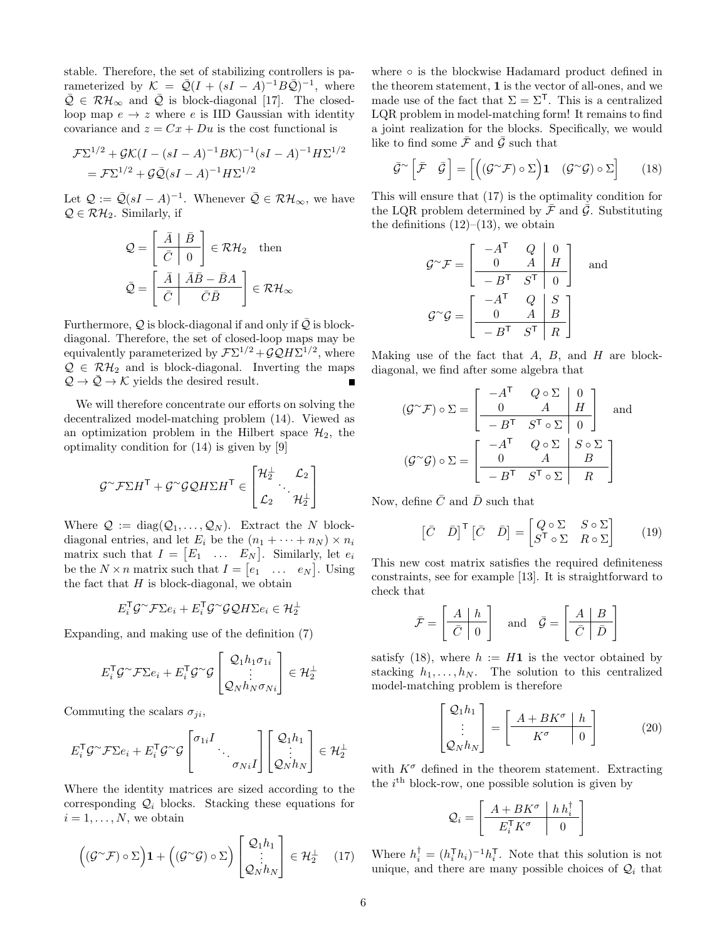stable. Therefore, the set of stabilizing controllers is parameterized by  $\mathcal{K} = \overline{\mathcal{Q}}(I + (sI - A)^{-1}B\overline{\mathcal{Q}})^{-1}$ , where  $\overline{Q} \in \mathcal{RH}_{\infty}$  and  $\overline{Q}$  is block-diagonal [\[17\]](#page-6-13). The closedloop map  $e \rightarrow z$  where e is IID Gaussian with identity covariance and  $z = Cx + Du$  is the cost functional is

$$
\mathcal{F}\Sigma^{1/2} + \mathcal{G}\mathcal{K}(I - (sI - A)^{-1}B\mathcal{K})^{-1}(sI - A)^{-1}H\Sigma^{1/2}
$$
  
= 
$$
\mathcal{F}\Sigma^{1/2} + \mathcal{G}\bar{\mathcal{Q}}(sI - A)^{-1}H\Sigma^{1/2}
$$

Let  $\mathcal{Q} := \overline{\mathcal{Q}}(sI - A)^{-1}$ . Whenever  $\overline{\mathcal{Q}} \in \mathcal{RH}_{\infty}$ , we have  $\mathcal{Q} \in \mathcal{RH}_2$ . Similarly, if

$$
Q = \begin{bmatrix} \bar{A} & \bar{B} \\ \bar{C} & 0 \end{bmatrix} \in \mathcal{RH}_2 \quad \text{then}
$$

$$
\bar{Q} = \begin{bmatrix} \bar{A} & \bar{A}\bar{B} - \bar{B}A \\ \bar{C} & \bar{C}\bar{B} \end{bmatrix} \in \mathcal{RH}_{\infty}
$$

Furthermore,  $Q$  is block-diagonal if and only if  $\overline{Q}$  is blockdiagonal. Therefore, the set of closed-loop maps may be equivalently parameterized by  $\mathcal{F}\Sigma^{1/2}+\mathcal{G}\mathcal{Q}H\Sigma^{1/2}$ , where  $\mathcal{Q} \in \mathcal{RH}_2$  and is block-diagonal. Inverting the maps  $\mathcal{Q} \rightarrow \overline{\mathcal{Q}} \rightarrow \mathcal{K}$  yields the desired result.

We will therefore concentrate our efforts on solving the decentralized model-matching problem [\(14\)](#page-4-1). Viewed as an optimization problem in the Hilbert space  $\mathcal{H}_2$ , the optimality condition for [\(14\)](#page-4-1) is given by [\[9\]](#page-6-16)

$$
\mathcal{G}^\sim \mathcal{F} \Sigma H^{\mathsf{T}} + \mathcal{G}^\sim \mathcal{G} \mathcal{Q} H \Sigma H^{\mathsf{T}} \in \begin{bmatrix} \mathcal{H}_2^\perp & \mathcal{L}_2 \\ \mathcal{L}_2 & \mathcal{H}_2^\perp \end{bmatrix}
$$

Where  $\mathcal{Q} := \text{diag}(\mathcal{Q}_1, \dots, \mathcal{Q}_N)$ . Extract the N blockdiagonal entries, and let  $E_i$  be the  $(n_1 + \cdots + n_N) \times n_i$ matrix such that  $I = \begin{bmatrix} E_1 & \dots & E_N \end{bmatrix}$ . Similarly, let  $e_i$ be the  $N \times n$  matrix such that  $I = [e_1 \quad \dots \quad e_N]$ . Using the fact that  $H$  is block-diagonal, we obtain

$$
E_i^{\mathsf{T}}\mathcal{G}^{\sim}\mathcal{F}\Sigma e_i + E_i^{\mathsf{T}}\mathcal{G}^{\sim}\mathcal{GQ}H\Sigma e_i \in \mathcal{H}_2^{\perp}
$$

Expanding, and making use of the definition [\(7\)](#page-2-2)

$$
E_i^{\mathsf{T}} \mathcal{G} \sim \mathcal{F} \Sigma e_i + E_i^{\mathsf{T}} \mathcal{G} \sim \mathcal{G} \begin{bmatrix} \mathcal{Q}_1 h_1 \sigma_{1i} \\ \vdots \\ \mathcal{Q}_N h_N \sigma_{Ni} \end{bmatrix} \in \mathcal{H}_2^{\perp}
$$

Commuting the scalars  $\sigma_{ii}$ ,

$$
E_i^{\mathsf{T}} \mathcal{G} \sim \mathcal{F} \Sigma e_i + E_i^{\mathsf{T}} \mathcal{G} \sim \mathcal{G} \begin{bmatrix} \sigma_{1i} I & & \\ & \ddots & \\ & & \sigma_{Ni} I \end{bmatrix} \begin{bmatrix} \mathcal{Q}_1 h_1 \\ \vdots \\ \mathcal{Q}_N h_N \end{bmatrix} \in \mathcal{H}_2^{\perp}
$$

Where the identity matrices are sized according to the corresponding  $\mathcal{Q}_i$  blocks. Stacking these equations for  $i = 1, \ldots, N$ , we obtain

<span id="page-5-0"></span>
$$
\left( (\mathcal{G}^{\sim} \mathcal{F}) \circ \Sigma \right) \mathbf{1} + \left( (\mathcal{G}^{\sim} \mathcal{G}) \circ \Sigma \right) \begin{bmatrix} \mathcal{Q}_1 h_1 \\ \vdots \\ \mathcal{Q}_N h_N \end{bmatrix} \in \mathcal{H}_2^{\perp} \quad (17)
$$

where ∘ is the blockwise Hadamard product defined in the theorem statement, 1 is the vector of all-ones, and we made use of the fact that  $\Sigma = \Sigma^{T}$ . This is a centralized LQR problem in model-matching form! It remains to find a joint realization for the blocks. Specifically, we would like to find some  $\bar{\mathcal{F}}$  and  $\bar{\mathcal{G}}$  such that

<span id="page-5-1"></span>
$$
\bar{\mathcal{G}}^{\sim} \left[ \bar{\mathcal{F}} \quad \bar{\mathcal{G}} \right] = \left[ \left( (\mathcal{G}^{\sim} \mathcal{F}) \circ \Sigma \right) \mathbf{1} \quad (\mathcal{G}^{\sim} \mathcal{G}) \circ \Sigma \right] \tag{18}
$$

This will ensure that [\(17\)](#page-5-0) is the optimality condition for the LQR problem determined by  $\bar{\mathcal{F}}$  and  $\bar{\mathcal{G}}$ . Substituting the definitions  $(12)$ – $(13)$ , we obtain

$$
\mathcal{G}^{\sim}\mathcal{F} = \begin{bmatrix} -A^{\mathsf{T}} & Q & 0 \\ 0 & A & H \\ \hline -B^{\mathsf{T}} & S^{\mathsf{T}} & 0 \end{bmatrix} \text{ and}
$$

$$
\mathcal{G}^{\sim}\mathcal{G} = \begin{bmatrix} -A^{\mathsf{T}} & Q & S \\ 0 & A & B \\ \hline -B^{\mathsf{T}} & S^{\mathsf{T}} & R \end{bmatrix}
$$

Making use of the fact that  $A$ ,  $B$ , and  $H$  are blockdiagonal, we find after some algebra that

$$
\left(\mathcal{G}^{\sim}\mathcal{F}\right)\circ\Sigma = \begin{bmatrix} -A^{\mathsf{T}} & Q\circ\Sigma & 0\\ 0 & A & H\\ -B^{\mathsf{T}} & S^{\mathsf{T}}\circ\Sigma & 0 \end{bmatrix} \text{ and}
$$

$$
\left(\mathcal{G}^{\sim}\mathcal{G}\right)\circ\Sigma = \begin{bmatrix} -A^{\mathsf{T}} & Q\circ\Sigma & S\circ\Sigma\\ 0 & A & B\\ -B^{\mathsf{T}} & S^{\mathsf{T}}\circ\Sigma & R \end{bmatrix}
$$

Now, define  $\overline{C}$  and  $\overline{D}$  such that

$$
\begin{bmatrix} \bar{C} & \bar{D} \end{bmatrix}^\mathsf{T} \begin{bmatrix} \bar{C} & \bar{D} \end{bmatrix} = \begin{bmatrix} Q \circ \Sigma & S \circ \Sigma \\ S^\mathsf{T} \circ \Sigma & R \circ \Sigma \end{bmatrix} \tag{19}
$$

This new cost matrix satisfies the required definiteness constraints, see for example [\[13\]](#page-6-17). It is straightforward to check that

$$
\bar{\mathcal{F}} = \begin{bmatrix} A & h \\ \bar{C} & 0 \end{bmatrix} \quad \text{and} \quad \bar{\mathcal{G}} = \begin{bmatrix} A & B \\ \bar{C} & \bar{D} \end{bmatrix}
$$

satisfy [\(18\)](#page-5-1), where  $h := H1$  is the vector obtained by stacking  $h_1, \ldots, h_N$ . The solution to this centralized model-matching problem is therefore

<span id="page-5-2"></span>
$$
\begin{bmatrix} \mathcal{Q}_1 h_1 \\ \vdots \\ \mathcal{Q}_N h_N \end{bmatrix} = \begin{bmatrix} A + BK^{\sigma} & h \\ K^{\sigma} & 0 \end{bmatrix}
$$
 (20)

with  $K^{\sigma}$  defined in the theorem statement. Extracting the  $i<sup>th</sup>$  block-row, one possible solution is given by

$$
\mathcal{Q}_i = \left[ \begin{array}{c|c} A + BK^{\sigma} & h h_i^{\dagger} \\ \hline E_i^{\mathsf{T}} K^{\sigma} & 0 \end{array} \right]
$$

Where  $h_i^{\dagger} = (h_i^{\mathsf{T}} h_i)^{-1} h_i^{\mathsf{T}}$ . Note that this solution is not unique, and there are many possible choices of  $\mathcal{Q}_i$  that